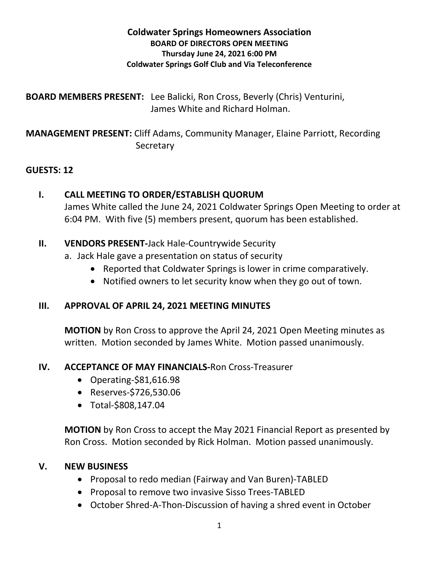#### **Coldwater Springs Homeowners Association BOARD OF DIRECTORS OPEN MEETING Thursday June 24, 2021 6:00 PM Coldwater Springs Golf Club and Via Teleconference**

**BOARD MEMBERS PRESENT:** Lee Balicki, Ron Cross, Beverly (Chris) Venturini, James White and Richard Holman.

**MANAGEMENT PRESENT:** Cliff Adams, Community Manager, Elaine Parriott, Recording **Secretary** 

#### **GUESTS: 12**

## **I. CALL MEETING TO ORDER/ESTABLISH QUORUM**

James White called the June 24, 2021 Coldwater Springs Open Meeting to order at 6:04 PM. With five (5) members present, quorum has been established.

#### **II. VENDORS PRESENT-**Jack Hale-Countrywide Security

- a. Jack Hale gave a presentation on status of security
	- Reported that Coldwater Springs is lower in crime comparatively.
	- Notified owners to let security know when they go out of town.

## **III. APPROVAL OF APRIL 24, 2021 MEETING MINUTES**

**MOTION** by Ron Cross to approve the April 24, 2021 Open Meeting minutes as written. Motion seconded by James White. Motion passed unanimously.

#### **IV. ACCEPTANCE OF MAY FINANCIALS-**Ron Cross-Treasurer

- Operating*-*\$81,616.98
- Reserves-\$726,530.06
- Total-\$808,147.04

**MOTION** by Ron Cross to accept the May 2021 Financial Report as presented by Ron Cross. Motion seconded by Rick Holman. Motion passed unanimously.

## **V. NEW BUSINESS**

- Proposal to redo median (Fairway and Van Buren)-TABLED
- Proposal to remove two invasive Sisso Trees-TABLED
- October Shred-A-Thon-Discussion of having a shred event in October